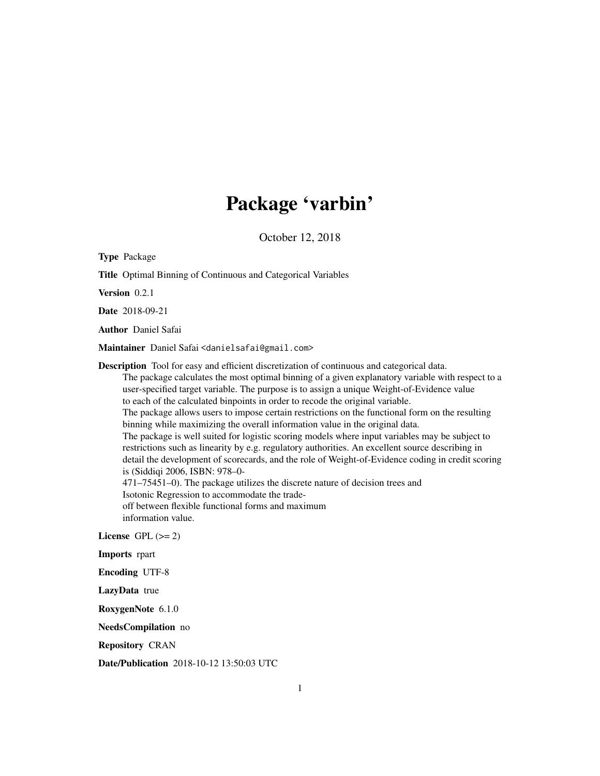## Package 'varbin'

October 12, 2018

| <b>Type Package</b>                                                                                                                                                                                                                                                                                                                                                                                                                                                                                                                                                                                                                                                                                                                                                                                                                                                                                                                                                                                                                                                                                                        |
|----------------------------------------------------------------------------------------------------------------------------------------------------------------------------------------------------------------------------------------------------------------------------------------------------------------------------------------------------------------------------------------------------------------------------------------------------------------------------------------------------------------------------------------------------------------------------------------------------------------------------------------------------------------------------------------------------------------------------------------------------------------------------------------------------------------------------------------------------------------------------------------------------------------------------------------------------------------------------------------------------------------------------------------------------------------------------------------------------------------------------|
| Title Optimal Binning of Continuous and Categorical Variables                                                                                                                                                                                                                                                                                                                                                                                                                                                                                                                                                                                                                                                                                                                                                                                                                                                                                                                                                                                                                                                              |
| Version 0.2.1                                                                                                                                                                                                                                                                                                                                                                                                                                                                                                                                                                                                                                                                                                                                                                                                                                                                                                                                                                                                                                                                                                              |
| Date 2018-09-21                                                                                                                                                                                                                                                                                                                                                                                                                                                                                                                                                                                                                                                                                                                                                                                                                                                                                                                                                                                                                                                                                                            |
| <b>Author</b> Daniel Safai                                                                                                                                                                                                                                                                                                                                                                                                                                                                                                                                                                                                                                                                                                                                                                                                                                                                                                                                                                                                                                                                                                 |
| Maintainer Daniel Safai <danielsafai@gmail.com></danielsafai@gmail.com>                                                                                                                                                                                                                                                                                                                                                                                                                                                                                                                                                                                                                                                                                                                                                                                                                                                                                                                                                                                                                                                    |
| Description Tool for easy and efficient discretization of continuous and categorical data.<br>The package calculates the most optimal binning of a given explanatory variable with respect to a<br>user-specified target variable. The purpose is to assign a unique Weight-of-Evidence value<br>to each of the calculated binpoints in order to recode the original variable.<br>The package allows users to impose certain restrictions on the functional form on the resulting<br>binning while maximizing the overall information value in the original data.<br>The package is well suited for logistic scoring models where input variables may be subject to<br>restrictions such as linearity by e.g. regulatory authorities. An excellent source describing in<br>detail the development of scorecards, and the role of Weight-of-Evidence coding in credit scoring<br>is (Siddiqi 2006, ISBN: 978-0-<br>471–75451–0). The package utilizes the discrete nature of decision trees and<br>Isotonic Regression to accommodate the trade-<br>off between flexible functional forms and maximum<br>information value. |
| License GPL $(>= 2)$                                                                                                                                                                                                                                                                                                                                                                                                                                                                                                                                                                                                                                                                                                                                                                                                                                                                                                                                                                                                                                                                                                       |
| Imports rpart                                                                                                                                                                                                                                                                                                                                                                                                                                                                                                                                                                                                                                                                                                                                                                                                                                                                                                                                                                                                                                                                                                              |
| <b>Encoding UTF-8</b>                                                                                                                                                                                                                                                                                                                                                                                                                                                                                                                                                                                                                                                                                                                                                                                                                                                                                                                                                                                                                                                                                                      |
| LazyData true                                                                                                                                                                                                                                                                                                                                                                                                                                                                                                                                                                                                                                                                                                                                                                                                                                                                                                                                                                                                                                                                                                              |
| RoxygenNote 6.1.0                                                                                                                                                                                                                                                                                                                                                                                                                                                                                                                                                                                                                                                                                                                                                                                                                                                                                                                                                                                                                                                                                                          |
| NeedsCompilation no                                                                                                                                                                                                                                                                                                                                                                                                                                                                                                                                                                                                                                                                                                                                                                                                                                                                                                                                                                                                                                                                                                        |
| <b>Repository CRAN</b>                                                                                                                                                                                                                                                                                                                                                                                                                                                                                                                                                                                                                                                                                                                                                                                                                                                                                                                                                                                                                                                                                                     |

Date/Publication 2018-10-12 13:50:03 UTC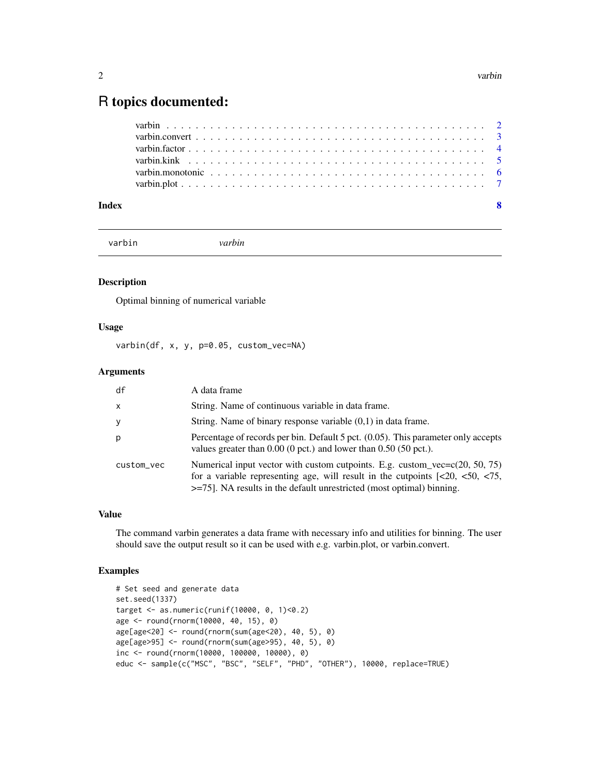### <span id="page-1-0"></span>R topics documented:

| Index |  |  |  |  |  |  |  |  |  |  |  |  |  |  |  |
|-------|--|--|--|--|--|--|--|--|--|--|--|--|--|--|--|
|       |  |  |  |  |  |  |  |  |  |  |  |  |  |  |  |
|       |  |  |  |  |  |  |  |  |  |  |  |  |  |  |  |
|       |  |  |  |  |  |  |  |  |  |  |  |  |  |  |  |
|       |  |  |  |  |  |  |  |  |  |  |  |  |  |  |  |
|       |  |  |  |  |  |  |  |  |  |  |  |  |  |  |  |
|       |  |  |  |  |  |  |  |  |  |  |  |  |  |  |  |

varbin *varbin*

### Description

Optimal binning of numerical variable

#### Usage

varbin(df, x, y, p=0.05, custom\_vec=NA)

#### Arguments

| df           | A data frame                                                                                                                                                 |
|--------------|--------------------------------------------------------------------------------------------------------------------------------------------------------------|
| $\mathsf{x}$ | String. Name of continuous variable in data frame.                                                                                                           |
| <sub>V</sub> | String. Name of binary response variable $(0,1)$ in data frame.                                                                                              |
| p            | Percentage of records per bin. Default 5 pct. (0.05). This parameter only accepts<br>values greater than $0.00$ (0 pct.) and lower than $0.50$ (50 pct.).    |
| custom_vec   | Numerical input vector with custom cutpoints. E.g. custom_vec= $c(20, 50, 75)$<br>$\ge$ =75]. NA results in the default unrestricted (most optimal) binning. |

#### Value

The command varbin generates a data frame with necessary info and utilities for binning. The user should save the output result so it can be used with e.g. varbin.plot, or varbin.convert.

```
# Set seed and generate data
set.seed(1337)
target <- as.numeric(runif(10000, 0, 1)<0.2)
age <- round(rnorm(10000, 40, 15), 0)
age[age<20] <- round(rnorm(sum(age<20), 40, 5), 0)
age[age>95] <- round(rnorm(sum(age>95), 40, 5), 0)
inc <- round(rnorm(10000, 100000, 10000), 0)
educ <- sample(c("MSC", "BSC", "SELF", "PHD", "OTHER"), 10000, replace=TRUE)
```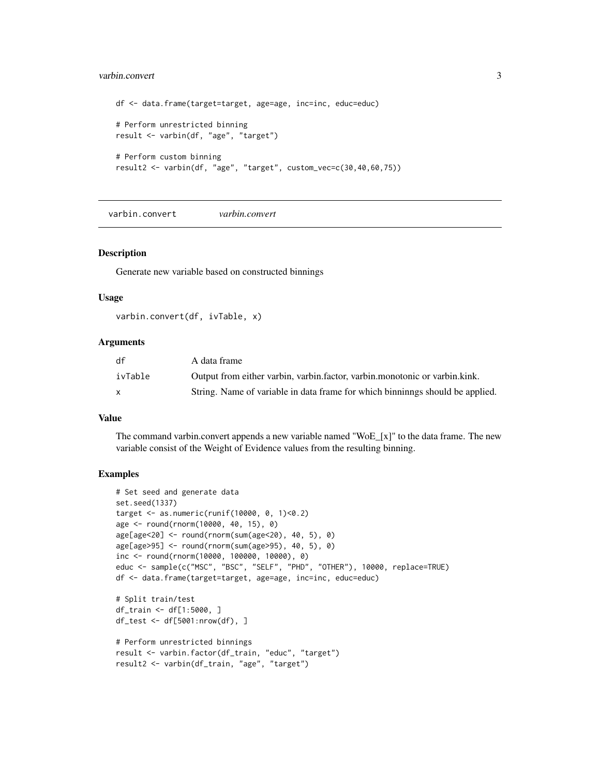#### <span id="page-2-0"></span>varbin.convert 3

```
df <- data.frame(target=target, age=age, inc=inc, educ=educ)
# Perform unrestricted binning
result <- varbin(df, "age", "target")
# Perform custom binning
result2 <- varbin(df, "age", "target", custom_vec=c(30,40,60,75))
```
varbin.convert *varbin.convert*

#### Description

Generate new variable based on constructed binnings

#### Usage

```
varbin.convert(df, ivTable, x)
```
#### Arguments

| df      | A data frame                                                                  |
|---------|-------------------------------------------------------------------------------|
| ivTable | Output from either varbin, varbin, factor, varbin, monotonic or varbin, kink. |
| X       | String. Name of variable in data frame for which binninngs should be applied. |

#### Value

The command varbin.convert appends a new variable named "WoE\_[x]" to the data frame. The new variable consist of the Weight of Evidence values from the resulting binning.

```
# Set seed and generate data
set.seed(1337)
target <- as.numeric(runif(10000, 0, 1)<0.2)
age <- round(rnorm(10000, 40, 15), 0)
age[age<20] <- round(rnorm(sum(age<20), 40, 5), 0)
age[age>95] <- round(rnorm(sum(age>95), 40, 5), 0)
inc <- round(rnorm(10000, 100000, 10000), 0)
educ <- sample(c("MSC", "BSC", "SELF", "PHD", "OTHER"), 10000, replace=TRUE)
df <- data.frame(target=target, age=age, inc=inc, educ=educ)
# Split train/test
df_train <- df[1:5000, ]
df_test <- df[5001:nrow(df), ]
# Perform unrestricted binnings
result <- varbin.factor(df_train, "educ", "target")
result2 <- varbin(df_train, "age", "target")
```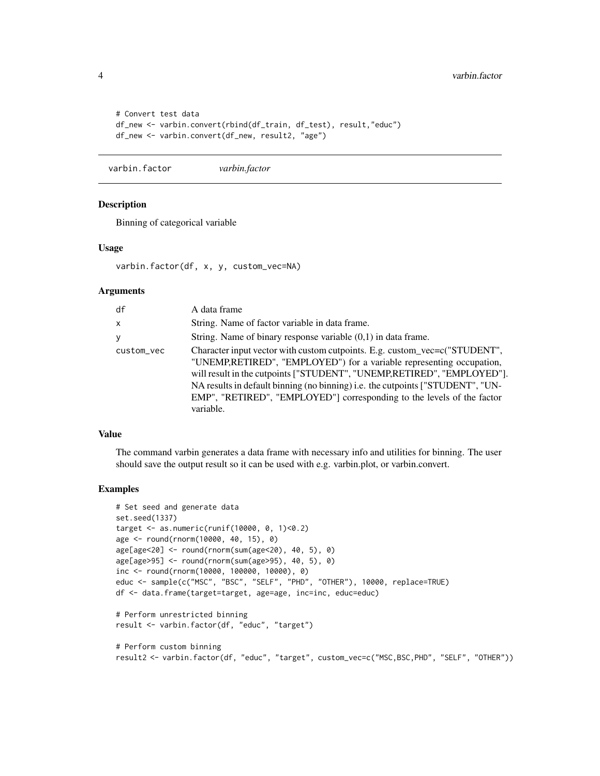```
# Convert test data
df_new <- varbin.convert(rbind(df_train, df_test), result,"educ")
df_new <- varbin.convert(df_new, result2, "age")
```
varbin.factor *varbin.factor*

#### Description

Binning of categorical variable

#### Usage

varbin.factor(df, x, y, custom\_vec=NA)

#### Arguments

| df         | A data frame                                                                                                                                                                                                                                                                                                                                                                                           |
|------------|--------------------------------------------------------------------------------------------------------------------------------------------------------------------------------------------------------------------------------------------------------------------------------------------------------------------------------------------------------------------------------------------------------|
| X          | String. Name of factor variable in data frame.                                                                                                                                                                                                                                                                                                                                                         |
| y          | String. Name of binary response variable $(0,1)$ in data frame.                                                                                                                                                                                                                                                                                                                                        |
| custom_vec | Character input vector with custom cutpoints. E.g. custom_vec=c("STUDENT",<br>"UNEMP,RETIRED", "EMPLOYED") for a variable representing occupation,<br>will result in the cutpoints ["STUDENT", "UNEMP, RETIRED", "EMPLOYED"].<br>NA results in default binning (no binning) i.e. the cutpoints ["STUDENT", "UN-<br>EMP", "RETIRED", "EMPLOYED"] corresponding to the levels of the factor<br>variable. |

#### Value

The command varbin generates a data frame with necessary info and utilities for binning. The user should save the output result so it can be used with e.g. varbin.plot, or varbin.convert.

```
# Set seed and generate data
set.seed(1337)
target <- as.numeric(runif(10000, 0, 1)<0.2)
age <- round(rnorm(10000, 40, 15), 0)
age[age<20] <- round(rnorm(sum(age<20), 40, 5), 0)
age[age>95] <- round(rnorm(sum(age>95), 40, 5), 0)
inc <- round(rnorm(10000, 100000, 10000), 0)
educ <- sample(c("MSC", "BSC", "SELF", "PHD", "OTHER"), 10000, replace=TRUE)
df <- data.frame(target=target, age=age, inc=inc, educ=educ)
# Perform unrestricted binning
result <- varbin.factor(df, "educ", "target")
# Perform custom binning
result2 <- varbin.factor(df, "educ", "target", custom_vec=c("MSC,BSC,PHD", "SELF", "OTHER"))
```
<span id="page-3-0"></span>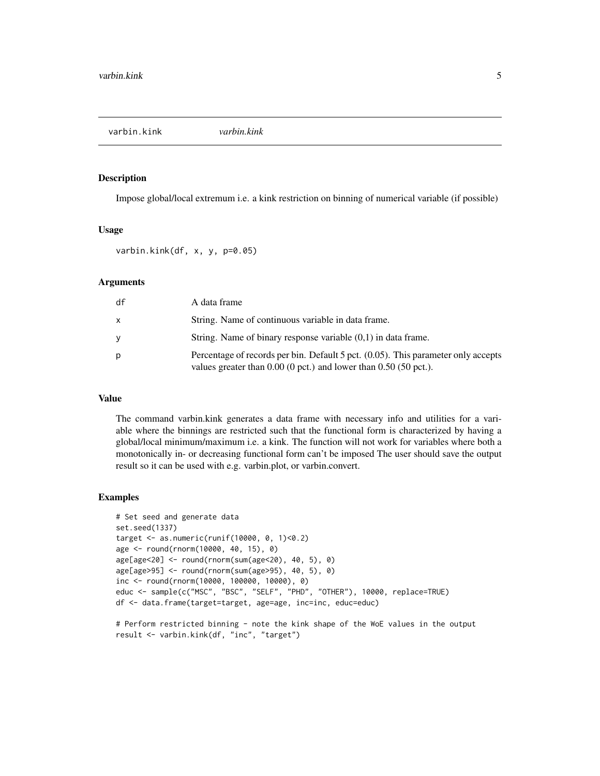<span id="page-4-0"></span>varbin.kink *varbin.kink*

#### Description

Impose global/local extremum i.e. a kink restriction on binning of numerical variable (if possible)

#### Usage

```
varbin.kink(df, x, y, p=0.05)
```
#### Arguments

| df | A data frame                                                                                                                                              |
|----|-----------------------------------------------------------------------------------------------------------------------------------------------------------|
| x  | String. Name of continuous variable in data frame.                                                                                                        |
| v  | String. Name of binary response variable $(0,1)$ in data frame.                                                                                           |
| D  | Percentage of records per bin. Default 5 pct. (0.05). This parameter only accepts<br>values greater than $0.00$ (0 pct.) and lower than $0.50$ (50 pct.). |

#### Value

The command varbin.kink generates a data frame with necessary info and utilities for a variable where the binnings are restricted such that the functional form is characterized by having a global/local minimum/maximum i.e. a kink. The function will not work for variables where both a monotonically in- or decreasing functional form can't be imposed The user should save the output result so it can be used with e.g. varbin.plot, or varbin.convert.

```
# Set seed and generate data
set.seed(1337)
target <- as.numeric(runif(10000, 0, 1)<0.2)
age <- round(rnorm(10000, 40, 15), 0)
age[age<20] <- round(rnorm(sum(age<20), 40, 5), 0)
age[age>95] <- round(rnorm(sum(age>95), 40, 5), 0)
inc <- round(rnorm(10000, 100000, 10000), 0)
educ <- sample(c("MSC", "BSC", "SELF", "PHD", "OTHER"), 10000, replace=TRUE)
df <- data.frame(target=target, age=age, inc=inc, educ=educ)
```

```
# Perform restricted binning - note the kink shape of the WoE values in the output
result <- varbin.kink(df, "inc", "target")
```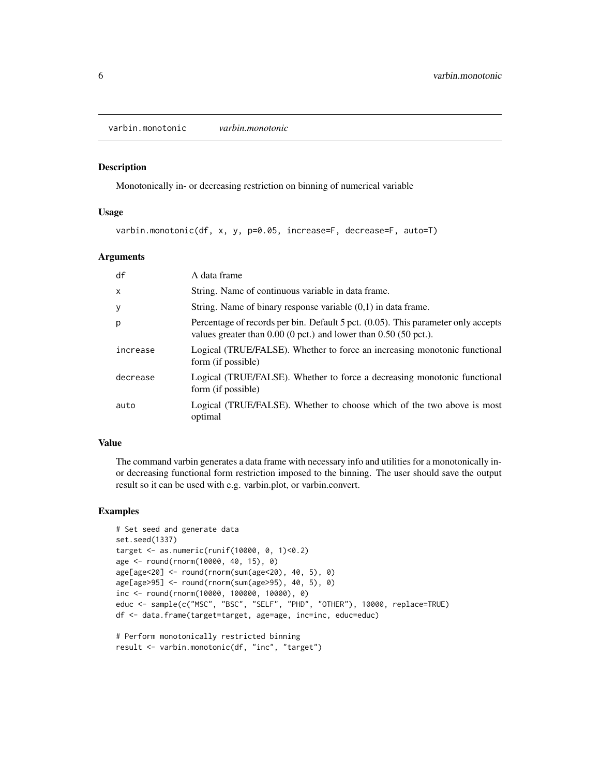<span id="page-5-0"></span>varbin.monotonic *varbin.monotonic*

#### Description

Monotonically in- or decreasing restriction on binning of numerical variable

#### Usage

varbin.monotonic(df, x, y, p=0.05, increase=F, decrease=F, auto=T)

#### Arguments

| df           | A data frame                                                                                                                                              |
|--------------|-----------------------------------------------------------------------------------------------------------------------------------------------------------|
| $\mathsf{x}$ | String. Name of continuous variable in data frame.                                                                                                        |
| y            | String. Name of binary response variable $(0,1)$ in data frame.                                                                                           |
| p            | Percentage of records per bin. Default 5 pct. (0.05). This parameter only accepts<br>values greater than $0.00$ (0 pct.) and lower than $0.50$ (50 pct.). |
| increase     | Logical (TRUE/FALSE). Whether to force an increasing monotonic functional<br>form (if possible)                                                           |
| decrease     | Logical (TRUE/FALSE). Whether to force a decreasing monotonic functional<br>form (if possible)                                                            |
| auto         | Logical (TRUE/FALSE). Whether to choose which of the two above is most<br>optimal                                                                         |

#### Value

The command varbin generates a data frame with necessary info and utilities for a monotonically inor decreasing functional form restriction imposed to the binning. The user should save the output result so it can be used with e.g. varbin.plot, or varbin.convert.

```
# Set seed and generate data
set.seed(1337)
target <- as.numeric(runif(10000, 0, 1)<0.2)
age <- round(rnorm(10000, 40, 15), 0)
age[age<20] <- round(rnorm(sum(age<20), 40, 5), 0)
age[age>95] <- round(rnorm(sum(age>95), 40, 5), 0)
inc <- round(rnorm(10000, 100000, 10000), 0)
educ <- sample(c("MSC", "BSC", "SELF", "PHD", "OTHER"), 10000, replace=TRUE)
df <- data.frame(target=target, age=age, inc=inc, educ=educ)
# Perform monotonically restricted binning
```

```
result <- varbin.monotonic(df, "inc", "target")
```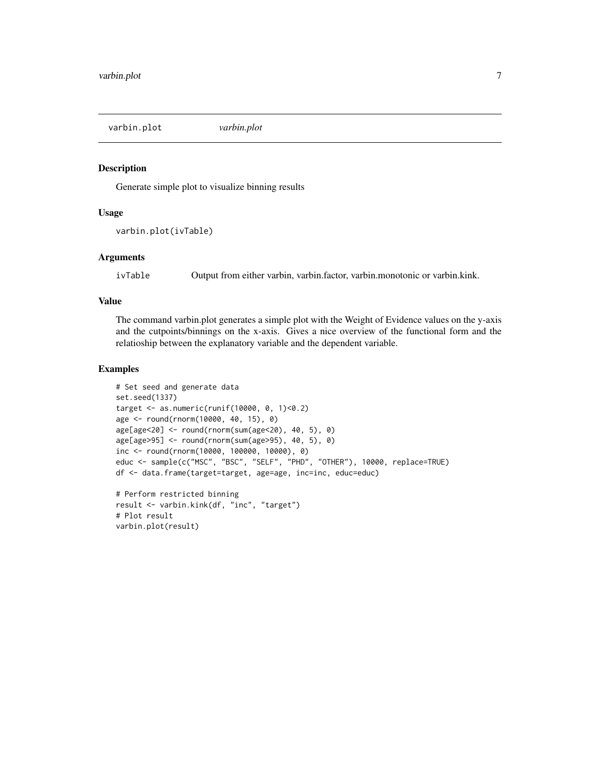<span id="page-6-0"></span>varbin.plot *varbin.plot*

#### Description

Generate simple plot to visualize binning results

#### Usage

```
varbin.plot(ivTable)
```
#### Arguments

ivTable Output from either varbin, varbin.factor, varbin.monotonic or varbin.kink.

#### Value

The command varbin.plot generates a simple plot with the Weight of Evidence values on the y-axis and the cutpoints/binnings on the x-axis. Gives a nice overview of the functional form and the relatioship between the explanatory variable and the dependent variable.

```
# Set seed and generate data
set.seed(1337)
target <- as.numeric(runif(10000, 0, 1)<0.2)
age <- round(rnorm(10000, 40, 15), 0)
age[age<20] <- round(rnorm(sum(age<20), 40, 5), 0)
age[age>95] <- round(rnorm(sum(age>95), 40, 5), 0)
inc <- round(rnorm(10000, 100000, 10000), 0)
educ <- sample(c("MSC", "BSC", "SELF", "PHD", "OTHER"), 10000, replace=TRUE)
df <- data.frame(target=target, age=age, inc=inc, educ=educ)
# Perform restricted binning
```

```
result <- varbin.kink(df, "inc", "target")
# Plot result
varbin.plot(result)
```